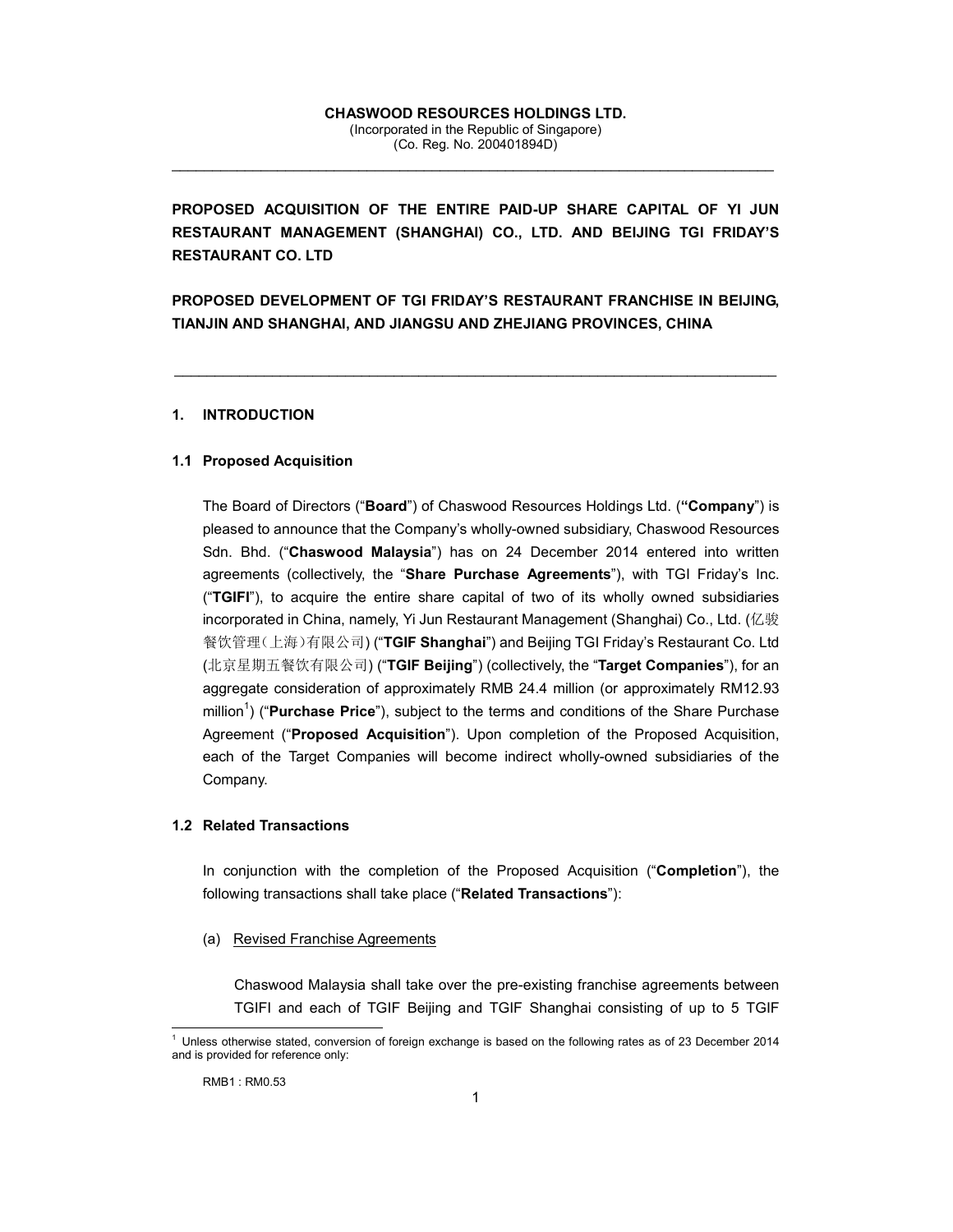### **CHASWOOD RESOURCES HOLDINGS LTD.**  (Incorporated in the Republic of Singapore) (Co. Reg. No. 200401894D)

 $\_$  , and the set of the set of the set of the set of the set of the set of the set of the set of the set of the set of the set of the set of the set of the set of the set of the set of the set of the set of the set of th

**PROPOSED ACQUISITION OF THE ENTIRE PAID-UP SHARE CAPITAL OF YI JUN RESTAURANT MANAGEMENT (SHANGHAI) CO., LTD. AND BEIJING TGI FRIDAY'S RESTAURANT CO. LTD** 

**PROPOSED DEVELOPMENT OF TGI FRIDAY'S RESTAURANT FRANCHISE IN BEIJING, TIANJIN AND SHANGHAI, AND JIANGSU AND ZHEJIANG PROVINCES, CHINA** 

\_\_\_\_\_\_\_\_\_\_\_\_\_\_\_\_\_\_\_\_\_\_\_\_\_\_\_\_\_\_\_\_\_\_\_\_\_\_\_\_\_\_\_\_\_\_\_\_\_\_\_\_\_\_\_\_\_\_\_\_\_\_\_\_\_\_\_\_\_\_\_\_\_\_

### **1. INTRODUCTION**

## **1.1 Proposed Acquisition**

The Board of Directors ("**Board**") of Chaswood Resources Holdings Ltd. (**"Company**") is pleased to announce that the Company's wholly-owned subsidiary, Chaswood Resources Sdn. Bhd. ("**Chaswood Malaysia**") has on 24 December 2014 entered into written agreements (collectively, the "**Share Purchase Agreements**"), with TGI Friday's Inc. ("**TGIFI**"), to acquire the entire share capital of two of its wholly owned subsidiaries incorporated in China, namely, Yi Jun Restaurant Management (Shanghai) Co., Ltd. (亿骏 餐饮管理(上海)有限公司) ("**TGIF Shanghai**") and Beijing TGI Friday's Restaurant Co. Ltd (北京星期五餐饮有限公司) ("**TGIF Beijing**") (collectively, the "**Target Companies**"), for an aggregate consideration of approximately RMB 24.4 million (or approximately RM12.93 million<sup>1</sup>) ("**Purchase Price**"), subject to the terms and conditions of the Share Purchase Agreement ("**Proposed Acquisition**"). Upon completion of the Proposed Acquisition, each of the Target Companies will become indirect wholly-owned subsidiaries of the Company.

### **1.2 Related Transactions**

In conjunction with the completion of the Proposed Acquisition ("**Completion**"), the following transactions shall take place ("**Related Transactions**"):

### (a) Revised Franchise Agreements

Chaswood Malaysia shall take over the pre-existing franchise agreements between TGIFI and each of TGIF Beijing and TGIF Shanghai consisting of up to 5 TGIF

 $\overline{a}$ 

<sup>1</sup> Unless otherwise stated, conversion of foreign exchange is based on the following rates as of 23 December 2014 and is provided for reference only: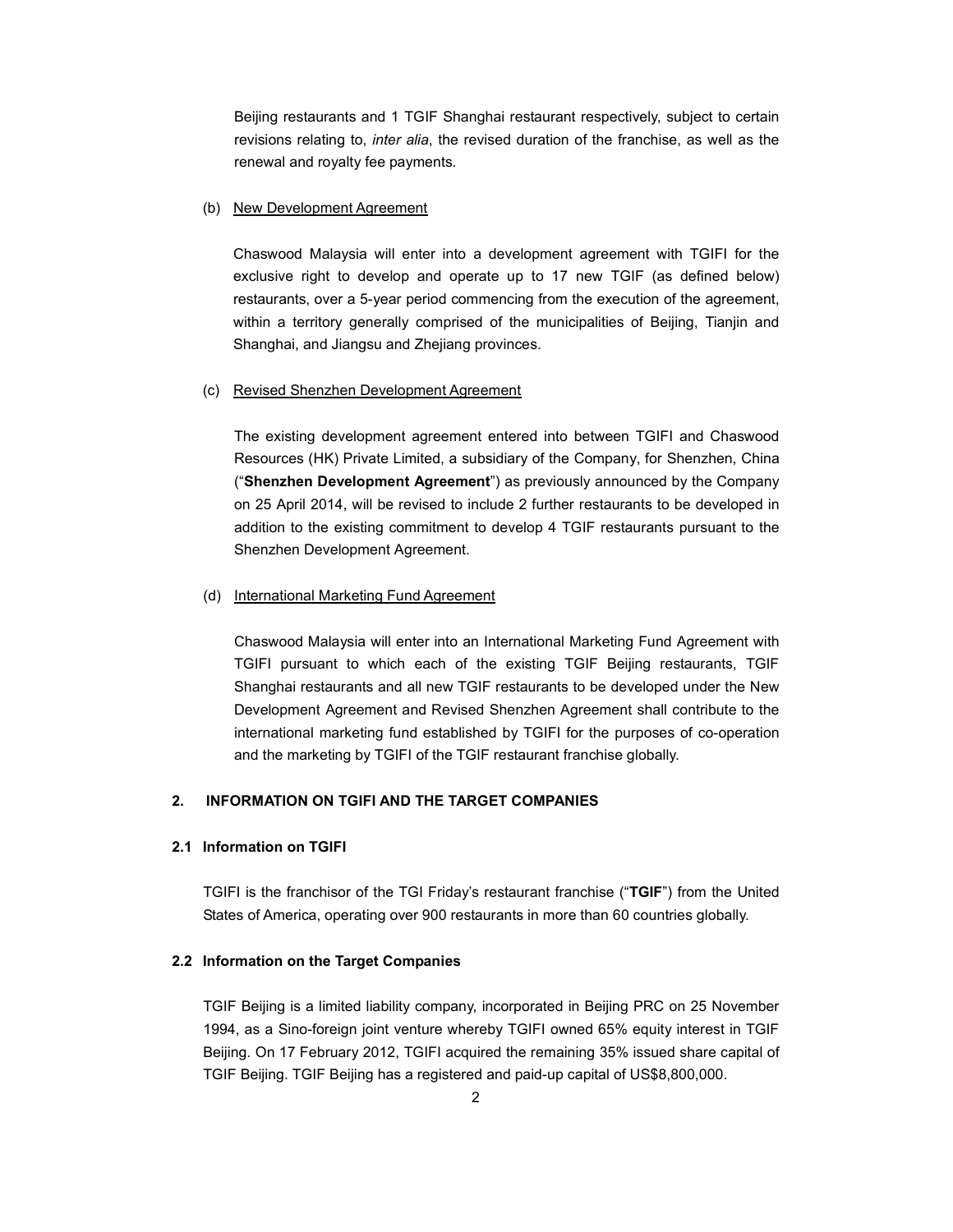Beijing restaurants and 1 TGIF Shanghai restaurant respectively, subject to certain revisions relating to, *inter alia*, the revised duration of the franchise, as well as the renewal and royalty fee payments.

### (b) New Development Agreement

Chaswood Malaysia will enter into a development agreement with TGIFI for the exclusive right to develop and operate up to 17 new TGIF (as defined below) restaurants, over a 5-year period commencing from the execution of the agreement, within a territory generally comprised of the municipalities of Beijing, Tianjin and Shanghai, and Jiangsu and Zhejiang provinces.

### (c) Revised Shenzhen Development Agreement

 The existing development agreement entered into between TGIFI and Chaswood Resources (HK) Private Limited, a subsidiary of the Company, for Shenzhen, China ("**Shenzhen Development Agreement**") as previously announced by the Company on 25 April 2014, will be revised to include 2 further restaurants to be developed in addition to the existing commitment to develop 4 TGIF restaurants pursuant to the Shenzhen Development Agreement.

### (d) International Marketing Fund Agreement

Chaswood Malaysia will enter into an International Marketing Fund Agreement with TGIFI pursuant to which each of the existing TGIF Beijing restaurants, TGIF Shanghai restaurants and all new TGIF restaurants to be developed under the New Development Agreement and Revised Shenzhen Agreement shall contribute to the international marketing fund established by TGIFI for the purposes of co-operation and the marketing by TGIFI of the TGIF restaurant franchise globally.

### **2. INFORMATION ON TGIFI AND THE TARGET COMPANIES**

## **2.1 Information on TGIFI**

TGIFI is the franchisor of the TGI Friday's restaurant franchise ("**TGIF**") from the United States of America, operating over 900 restaurants in more than 60 countries globally.

### **2.2 Information on the Target Companies**

TGIF Beijing is a limited liability company, incorporated in Beijing PRC on 25 November 1994, as a Sino-foreign joint venture whereby TGIFI owned 65% equity interest in TGIF Beijing. On 17 February 2012, TGIFI acquired the remaining 35% issued share capital of TGIF Beijing. TGIF Beijing has a registered and paid-up capital of US\$8,800,000.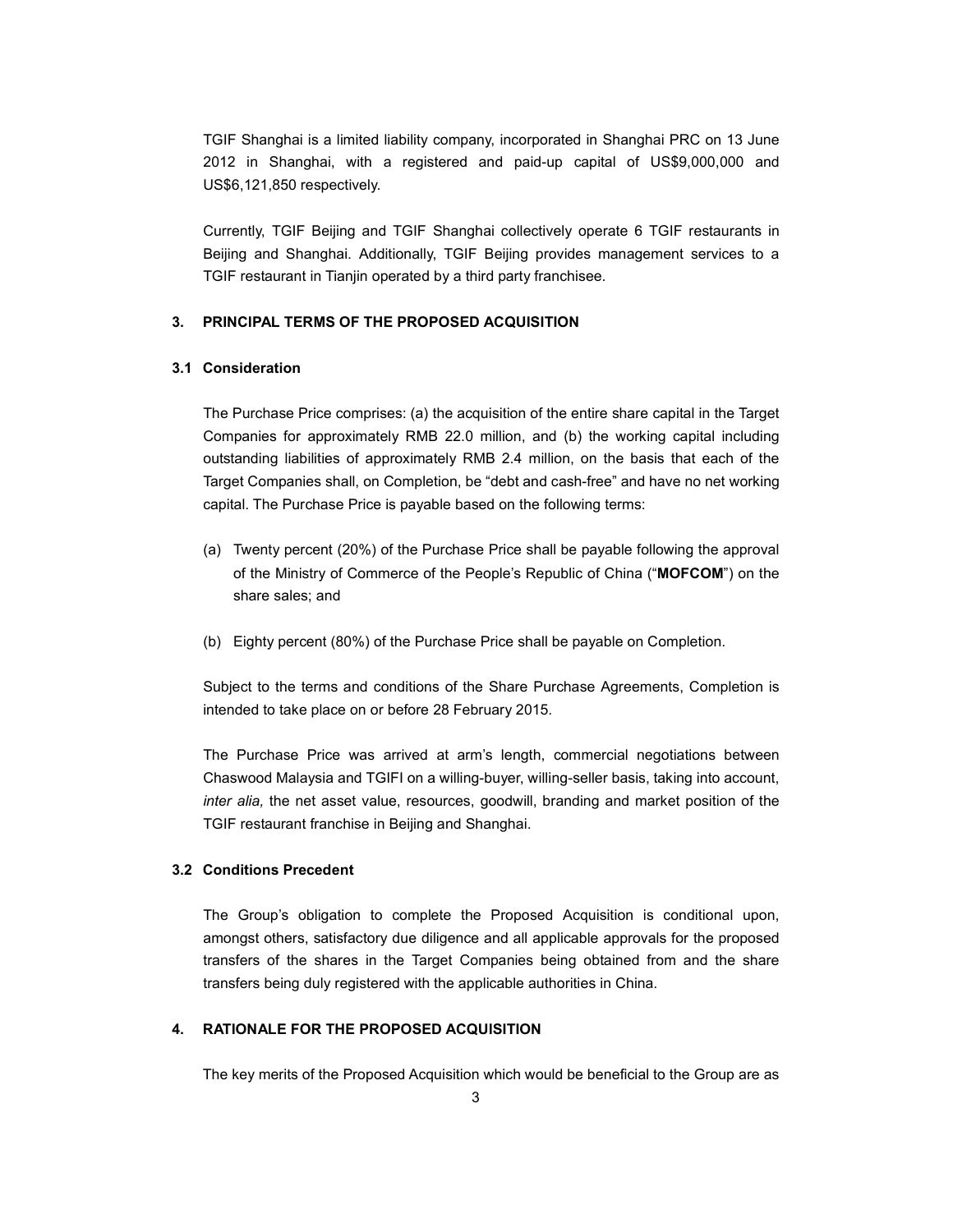TGIF Shanghai is a limited liability company, incorporated in Shanghai PRC on 13 June 2012 in Shanghai, with a registered and paid-up capital of US\$9,000,000 and US\$6,121,850 respectively.

Currently, TGIF Beijing and TGIF Shanghai collectively operate 6 TGIF restaurants in Beijing and Shanghai. Additionally, TGIF Beijing provides management services to a TGIF restaurant in Tianjin operated by a third party franchisee.

### **3. PRINCIPAL TERMS OF THE PROPOSED ACQUISITION**

# **3.1 Consideration**

The Purchase Price comprises: (a) the acquisition of the entire share capital in the Target Companies for approximately RMB 22.0 million, and (b) the working capital including outstanding liabilities of approximately RMB 2.4 million, on the basis that each of the Target Companies shall, on Completion, be "debt and cash-free" and have no net working capital. The Purchase Price is payable based on the following terms:

- (a) Twenty percent (20%) of the Purchase Price shall be payable following the approval of the Ministry of Commerce of the People's Republic of China ("**MOFCOM**") on the share sales; and
- (b) Eighty percent (80%) of the Purchase Price shall be payable on Completion.

Subject to the terms and conditions of the Share Purchase Agreements, Completion is intended to take place on or before 28 February 2015.

The Purchase Price was arrived at arm's length, commercial negotiations between Chaswood Malaysia and TGIFI on a willing-buyer, willing-seller basis, taking into account, *inter alia,* the net asset value, resources, goodwill, branding and market position of the TGIF restaurant franchise in Beijing and Shanghai.

## **3.2 Conditions Precedent**

The Group's obligation to complete the Proposed Acquisition is conditional upon, amongst others, satisfactory due diligence and all applicable approvals for the proposed transfers of the shares in the Target Companies being obtained from and the share transfers being duly registered with the applicable authorities in China.

### **4. RATIONALE FOR THE PROPOSED ACQUISITION**

The key merits of the Proposed Acquisition which would be beneficial to the Group are as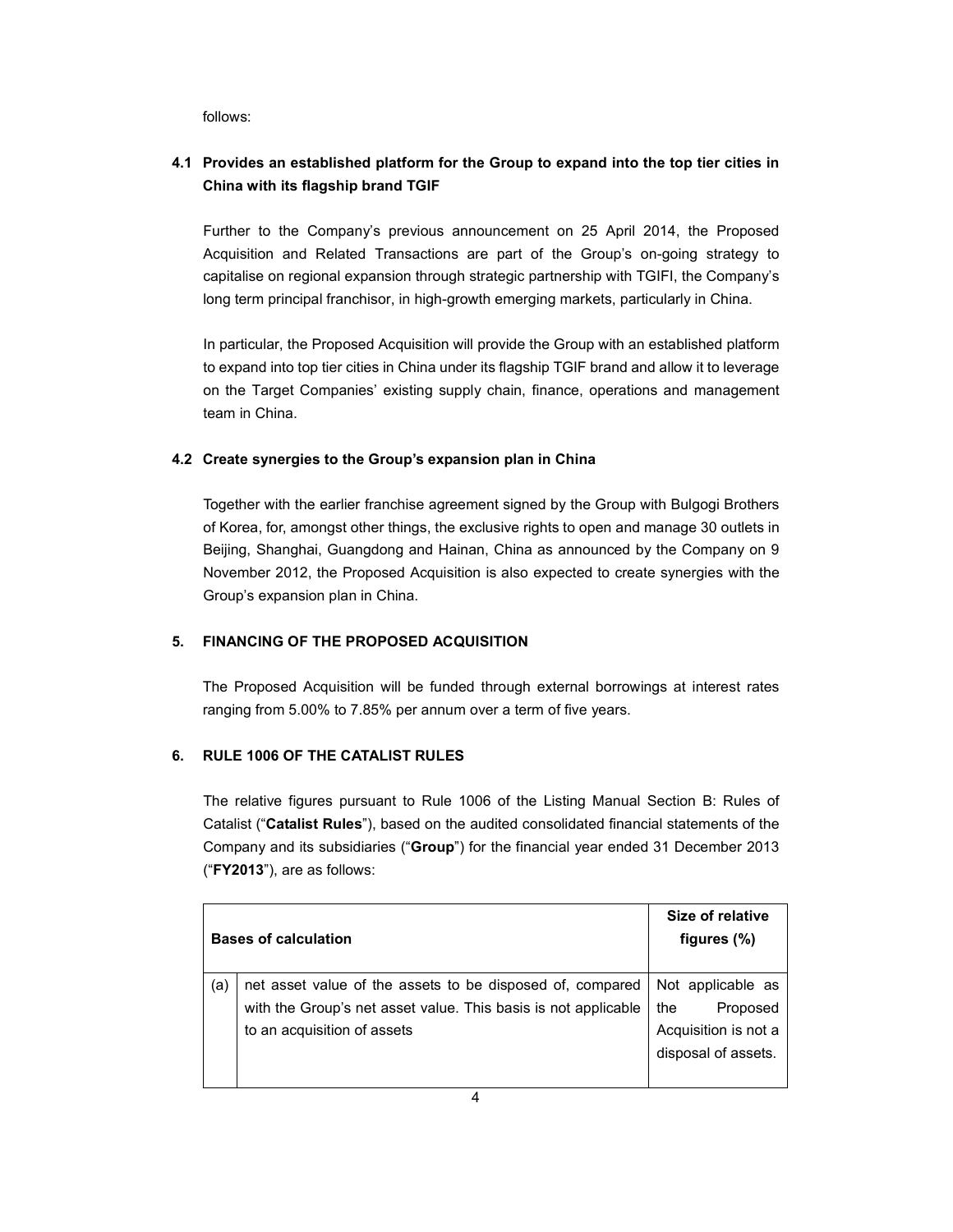follows:

# **4.1 Provides an established platform for the Group to expand into the top tier cities in China with its flagship brand TGIF**

Further to the Company's previous announcement on 25 April 2014, the Proposed Acquisition and Related Transactions are part of the Group's on-going strategy to capitalise on regional expansion through strategic partnership with TGIFI, the Company's long term principal franchisor, in high-growth emerging markets, particularly in China.

In particular, the Proposed Acquisition will provide the Group with an established platform to expand into top tier cities in China under its flagship TGIF brand and allow it to leverage on the Target Companies' existing supply chain, finance, operations and management team in China.

# **4.2 Create synergies to the Group's expansion plan in China**

Together with the earlier franchise agreement signed by the Group with Bulgogi Brothers of Korea, for, amongst other things, the exclusive rights to open and manage 30 outlets in Beijing, Shanghai, Guangdong and Hainan, China as announced by the Company on 9 November 2012, the Proposed Acquisition is also expected to create synergies with the Group's expansion plan in China.

# **5. FINANCING OF THE PROPOSED ACQUISITION**

The Proposed Acquisition will be funded through external borrowings at interest rates ranging from 5.00% to 7.85% per annum over a term of five years.

# **6. RULE 1006 OF THE CATALIST RULES**

The relative figures pursuant to Rule 1006 of the Listing Manual Section B: Rules of Catalist ("**Catalist Rules**"), based on the audited consolidated financial statements of the Company and its subsidiaries ("**Group**") for the financial year ended 31 December 2013 ("**FY2013**"), are as follows:

|     | <b>Bases of calculation</b>                                    | Size of relative<br>figures $(\%)$ |
|-----|----------------------------------------------------------------|------------------------------------|
| (a) | net asset value of the assets to be disposed of, compared      | Not applicable as                  |
|     | with the Group's net asset value. This basis is not applicable | Proposed<br>the                    |
|     | to an acquisition of assets                                    | Acquisition is not a               |
|     |                                                                | disposal of assets.                |
|     |                                                                |                                    |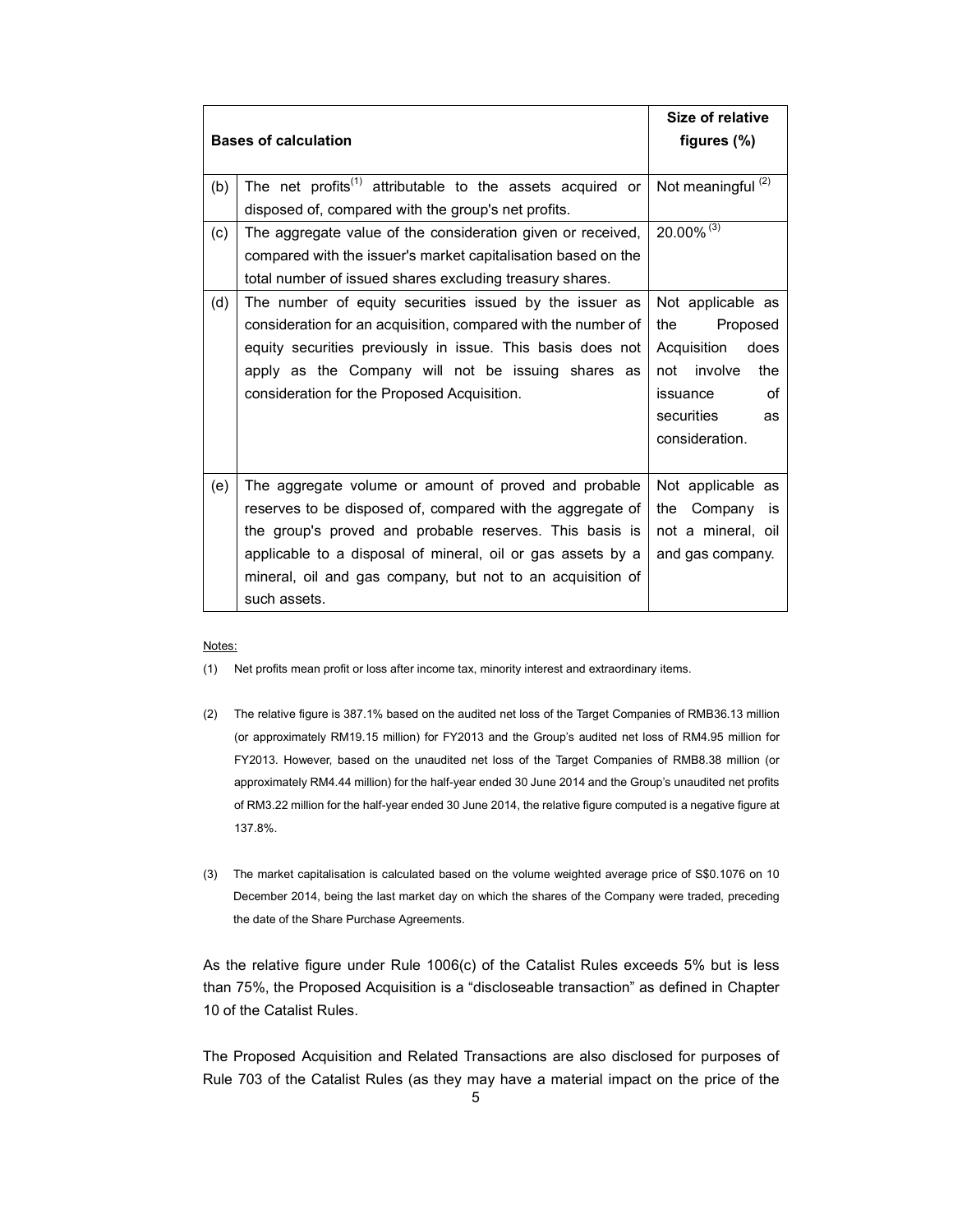|                             |                                                                       | Size of relative              |
|-----------------------------|-----------------------------------------------------------------------|-------------------------------|
| <b>Bases of calculation</b> |                                                                       | figures $(\%)$                |
|                             |                                                                       |                               |
| (b)                         | The net profits <sup>(1)</sup> attributable to the assets acquired or | Not meaningful <sup>(2)</sup> |
|                             | disposed of, compared with the group's net profits.                   |                               |
| (c)                         | The aggregate value of the consideration given or received,           | 20.00% (3)                    |
|                             | compared with the issuer's market capitalisation based on the         |                               |
|                             | total number of issued shares excluding treasury shares.              |                               |
| (d)                         | The number of equity securities issued by the issuer as               | Not applicable as             |
|                             | consideration for an acquisition, compared with the number of         | Proposed<br>the               |
|                             | equity securities previously in issue. This basis does not            | Acquisition does              |
|                             | apply as the Company will not be issuing shares as                    | not involve<br>the            |
|                             | consideration for the Proposed Acquisition.                           | οf<br>issuance                |
|                             |                                                                       | securities<br>as              |
|                             |                                                                       | consideration.                |
|                             |                                                                       |                               |
| (e)                         | The aggregate volume or amount of proved and probable                 | Not applicable as             |
|                             | reserves to be disposed of, compared with the aggregate of            | Company<br>the<br>is          |
|                             | the group's proved and probable reserves. This basis is               | not a mineral, oil            |
|                             | applicable to a disposal of mineral, oil or gas assets by a           | and gas company.              |
|                             | mineral, oil and gas company, but not to an acquisition of            |                               |
|                             | such assets.                                                          |                               |

#### Notes:

- (1) Net profits mean profit or loss after income tax, minority interest and extraordinary items.
- (2) The relative figure is 387.1% based on the audited net loss of the Target Companies of RMB36.13 million (or approximately RM19.15 million) for FY2013 and the Group's audited net loss of RM4.95 million for FY2013. However, based on the unaudited net loss of the Target Companies of RMB8.38 million (or approximately RM4.44 million) for the half-year ended 30 June 2014 and the Group's unaudited net profits of RM3.22 million for the half-year ended 30 June 2014, the relative figure computed is a negative figure at 137.8%.
- (3) The market capitalisation is calculated based on the volume weighted average price of S\$0.1076 on 10 December 2014, being the last market day on which the shares of the Company were traded, preceding the date of the Share Purchase Agreements.

As the relative figure under Rule 1006(c) of the Catalist Rules exceeds 5% but is less than 75%, the Proposed Acquisition is a "discloseable transaction" as defined in Chapter 10 of the Catalist Rules.

The Proposed Acquisition and Related Transactions are also disclosed for purposes of Rule 703 of the Catalist Rules (as they may have a material impact on the price of the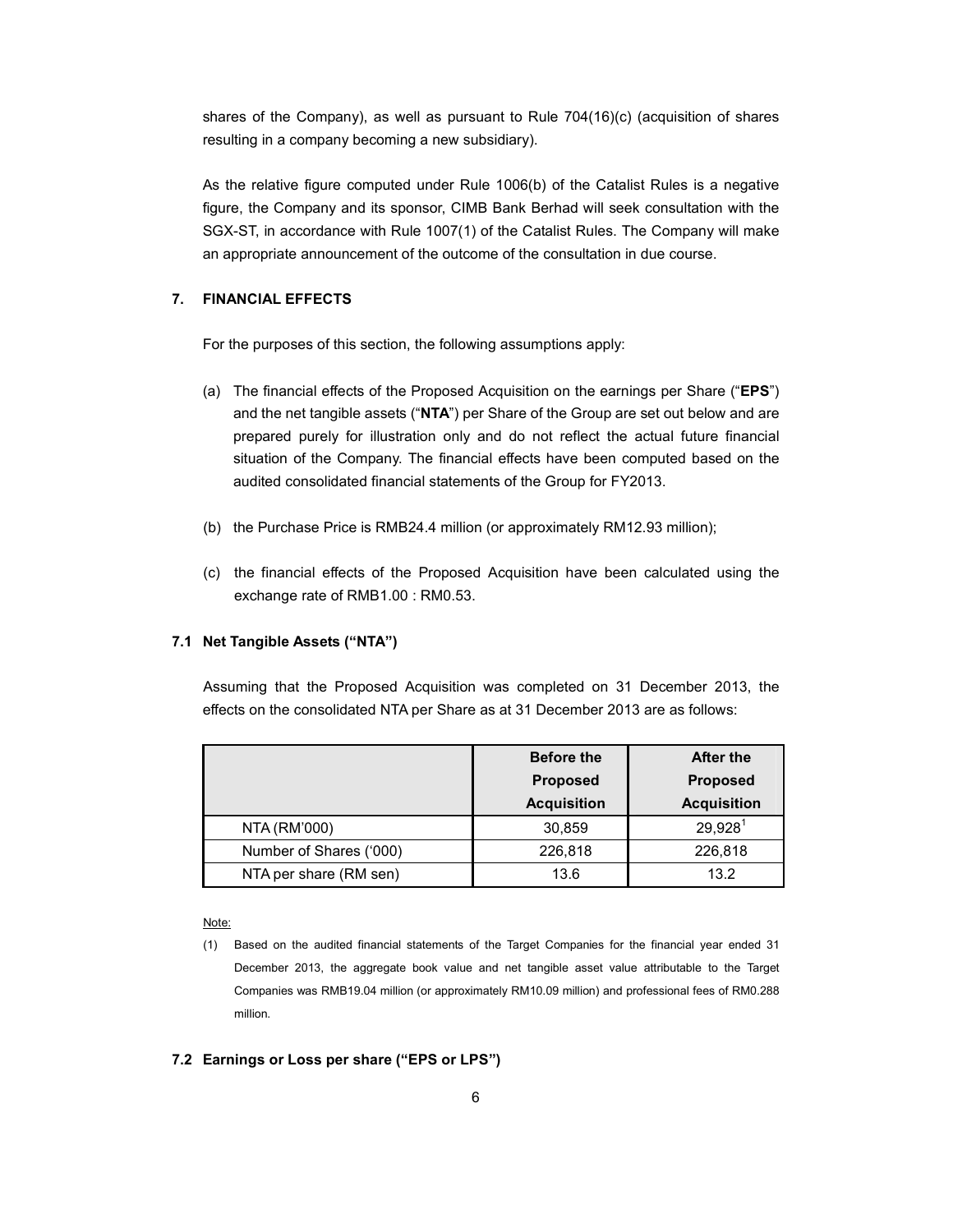shares of the Company), as well as pursuant to Rule 704(16)(c) (acquisition of shares resulting in a company becoming a new subsidiary).

As the relative figure computed under Rule 1006(b) of the Catalist Rules is a negative figure, the Company and its sponsor, CIMB Bank Berhad will seek consultation with the SGX-ST, in accordance with Rule 1007(1) of the Catalist Rules. The Company will make an appropriate announcement of the outcome of the consultation in due course.

# **7. FINANCIAL EFFECTS**

For the purposes of this section, the following assumptions apply:

- (a) The financial effects of the Proposed Acquisition on the earnings per Share ("**EPS**") and the net tangible assets ("**NTA**") per Share of the Group are set out below and are prepared purely for illustration only and do not reflect the actual future financial situation of the Company. The financial effects have been computed based on the audited consolidated financial statements of the Group for FY2013.
- (b) the Purchase Price is RMB24.4 million (or approximately RM12.93 million);
- (c) the financial effects of the Proposed Acquisition have been calculated using the exchange rate of RMB1.00 : RM0.53.

# **7.1 Net Tangible Assets ("NTA")**

Assuming that the Proposed Acquisition was completed on 31 December 2013, the effects on the consolidated NTA per Share as at 31 December 2013 are as follows:

|                         | <b>Before the</b>  | After the           |
|-------------------------|--------------------|---------------------|
|                         | <b>Proposed</b>    | <b>Proposed</b>     |
|                         | <b>Acquisition</b> | <b>Acquisition</b>  |
| NTA (RM'000)            | 30,859             | 29.928 <sup>1</sup> |
| Number of Shares ('000) | 226,818            | 226,818             |
| NTA per share (RM sen)  | 13.6               | 13.2                |

#### Note:

## **7.2 Earnings or Loss per share ("EPS or LPS")**

<sup>(1)</sup> Based on the audited financial statements of the Target Companies for the financial year ended 31 December 2013, the aggregate book value and net tangible asset value attributable to the Target Companies was RMB19.04 million (or approximately RM10.09 million) and professional fees of RM0.288 million.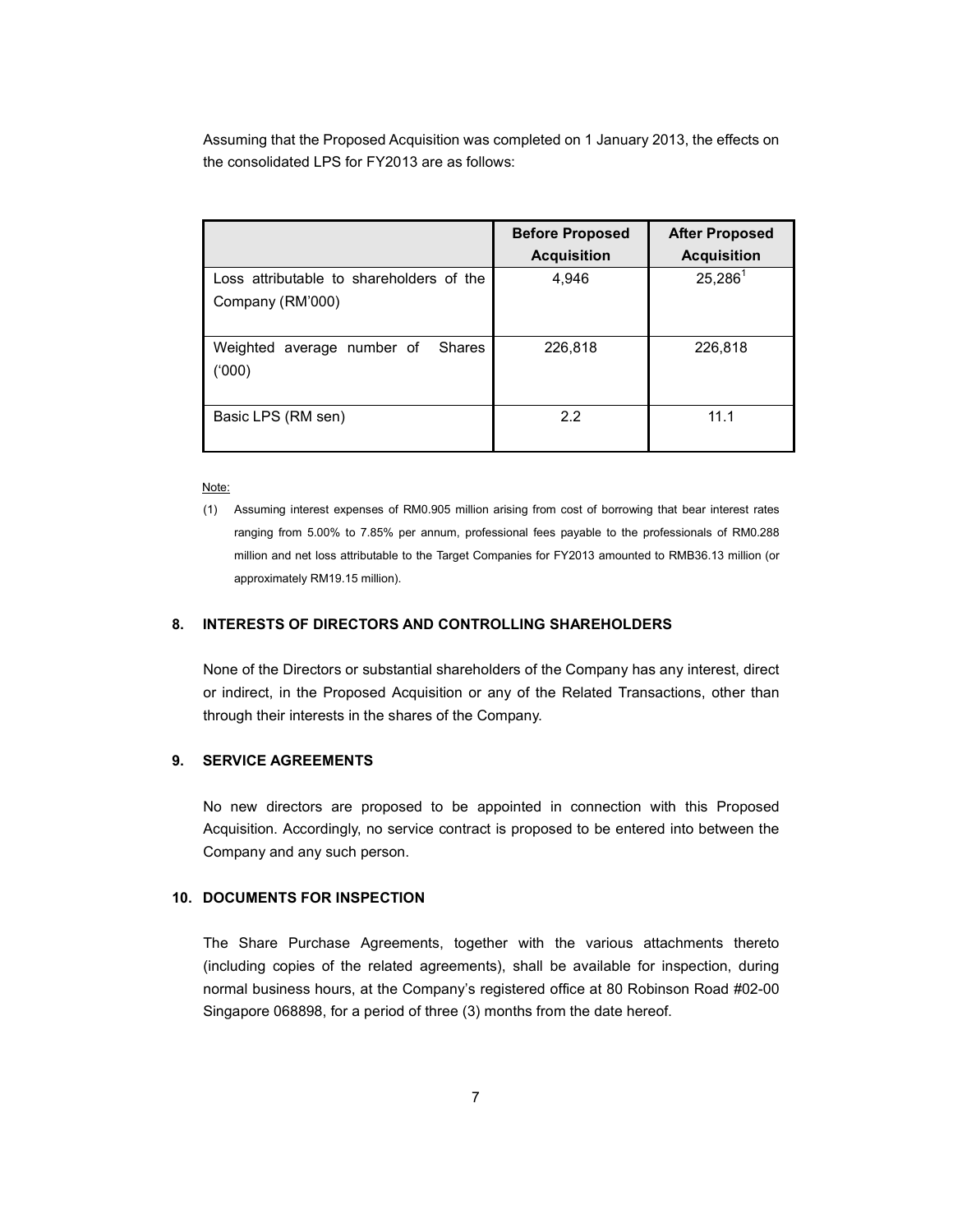Assuming that the Proposed Acquisition was completed on 1 January 2013, the effects on the consolidated LPS for FY2013 are as follows:

|                                                              | <b>Before Proposed</b><br><b>Acquisition</b> | <b>After Proposed</b><br><b>Acquisition</b> |
|--------------------------------------------------------------|----------------------------------------------|---------------------------------------------|
| Loss attributable to shareholders of the<br>Company (RM'000) | 4,946                                        | $25,286^1$                                  |
| Weighted average number of<br><b>Shares</b><br>('000)        | 226,818                                      | 226,818                                     |
| Basic LPS (RM sen)                                           | 2.2                                          | 11.1                                        |

Note:

## **8. INTERESTS OF DIRECTORS AND CONTROLLING SHAREHOLDERS**

None of the Directors or substantial shareholders of the Company has any interest, direct or indirect, in the Proposed Acquisition or any of the Related Transactions, other than through their interests in the shares of the Company.

## **9. SERVICE AGREEMENTS**

No new directors are proposed to be appointed in connection with this Proposed Acquisition. Accordingly, no service contract is proposed to be entered into between the Company and any such person.

# **10. DOCUMENTS FOR INSPECTION**

The Share Purchase Agreements, together with the various attachments thereto (including copies of the related agreements), shall be available for inspection, during normal business hours, at the Company's registered office at 80 Robinson Road #02-00 Singapore 068898, for a period of three (3) months from the date hereof.

<sup>(1)</sup> Assuming interest expenses of RM0.905 million arising from cost of borrowing that bear interest rates ranging from 5.00% to 7.85% per annum, professional fees payable to the professionals of RM0.288 million and net loss attributable to the Target Companies for FY2013 amounted to RMB36.13 million (or approximately RM19.15 million).